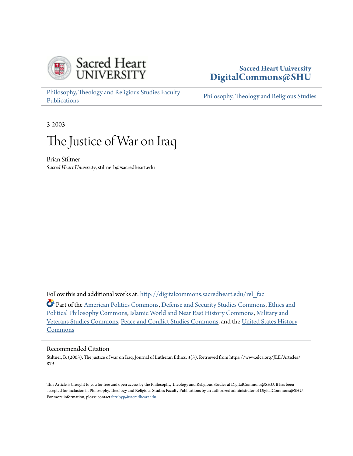

# **Sacred Heart University [DigitalCommons@SHU](http://digitalcommons.sacredheart.edu?utm_source=digitalcommons.sacredheart.edu%2Frel_fac%2F1&utm_medium=PDF&utm_campaign=PDFCoverPages)**

[Philosophy, Theology and Religious Studies Faculty](http://digitalcommons.sacredheart.edu/rel_fac?utm_source=digitalcommons.sacredheart.edu%2Frel_fac%2F1&utm_medium=PDF&utm_campaign=PDFCoverPages) [Publications](http://digitalcommons.sacredheart.edu/rel_fac?utm_source=digitalcommons.sacredheart.edu%2Frel_fac%2F1&utm_medium=PDF&utm_campaign=PDFCoverPages)

[Philosophy, Theology and Religious Studies](http://digitalcommons.sacredheart.edu/rel?utm_source=digitalcommons.sacredheart.edu%2Frel_fac%2F1&utm_medium=PDF&utm_campaign=PDFCoverPages)

3-2003

# The Justice of War on Iraq

Brian Stiltner *Sacred Heart University*, stiltnerb@sacredheart.edu

Follow this and additional works at: [http://digitalcommons.sacredheart.edu/rel\\_fac](http://digitalcommons.sacredheart.edu/rel_fac?utm_source=digitalcommons.sacredheart.edu%2Frel_fac%2F1&utm_medium=PDF&utm_campaign=PDFCoverPages)

Part of the [American Politics Commons](http://network.bepress.com/hgg/discipline/387?utm_source=digitalcommons.sacredheart.edu%2Frel_fac%2F1&utm_medium=PDF&utm_campaign=PDFCoverPages), [Defense and Security Studies Commons,](http://network.bepress.com/hgg/discipline/394?utm_source=digitalcommons.sacredheart.edu%2Frel_fac%2F1&utm_medium=PDF&utm_campaign=PDFCoverPages) [Ethics and](http://network.bepress.com/hgg/discipline/529?utm_source=digitalcommons.sacredheart.edu%2Frel_fac%2F1&utm_medium=PDF&utm_campaign=PDFCoverPages) [Political Philosophy Commons,](http://network.bepress.com/hgg/discipline/529?utm_source=digitalcommons.sacredheart.edu%2Frel_fac%2F1&utm_medium=PDF&utm_campaign=PDFCoverPages) [Islamic World and Near East History Commons,](http://network.bepress.com/hgg/discipline/493?utm_source=digitalcommons.sacredheart.edu%2Frel_fac%2F1&utm_medium=PDF&utm_campaign=PDFCoverPages) [Military and](http://network.bepress.com/hgg/discipline/396?utm_source=digitalcommons.sacredheart.edu%2Frel_fac%2F1&utm_medium=PDF&utm_campaign=PDFCoverPages) [Veterans Studies Commons,](http://network.bepress.com/hgg/discipline/396?utm_source=digitalcommons.sacredheart.edu%2Frel_fac%2F1&utm_medium=PDF&utm_campaign=PDFCoverPages) [Peace and Conflict Studies Commons,](http://network.bepress.com/hgg/discipline/397?utm_source=digitalcommons.sacredheart.edu%2Frel_fac%2F1&utm_medium=PDF&utm_campaign=PDFCoverPages) and the [United States History](http://network.bepress.com/hgg/discipline/495?utm_source=digitalcommons.sacredheart.edu%2Frel_fac%2F1&utm_medium=PDF&utm_campaign=PDFCoverPages) [Commons](http://network.bepress.com/hgg/discipline/495?utm_source=digitalcommons.sacredheart.edu%2Frel_fac%2F1&utm_medium=PDF&utm_campaign=PDFCoverPages)

#### Recommended Citation

Stiltner, B. (2003). The justice of war on Iraq. Journal of Lutheran Ethics, 3(3). Retrieved from https://www.elca.org/JLE/Articles/ 879

This Article is brought to you for free and open access by the Philosophy, Theology and Religious Studies at DigitalCommons@SHU. It has been accepted for inclusion in Philosophy, Theology and Religious Studies Faculty Publications by an authorized administrator of DigitalCommons@SHU. For more information, please contact [ferribyp@sacredheart.edu](mailto:ferribyp@sacredheart.edu).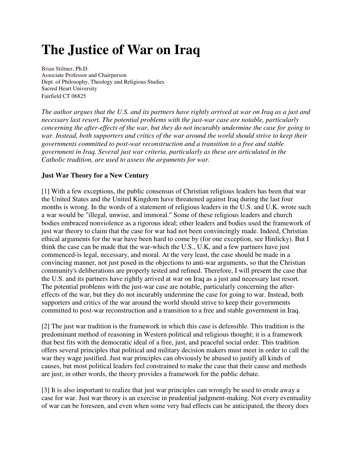# **The Justice of War on Iraq**

Brian Stiltner, Ph.D. Associate Professor and Chairperson Dept. of Philosophy, Theology and Religious Studies Sacred Heart University Fairfield CT 06825

*The author argues that the U.S. and its partners have rightly arrived at war on Iraq as a just and necessary last resort. The potential problems with the just-war case are notable, particularly concerning the after-effects of the war, but they do not incurably undermine the case for going to war. Instead, both supporters and critics of the war around the world should strive to keep their governments committed to post-war reconstruction and a transition to a free and stable government in Iraq. Several just war criteria, particularly as these are articulated in the Catholic tradition, are used to assess the arguments for war.* 

### **Just War Theory for a New Century**

[1] With a few exceptions, the public consensus of Christian religious leaders has been that war the United States and the United Kingdom have threatened against Iraq during the last four months is wrong. In the words of a statement of religious leaders in the U.S. and U.K. wrote such a war would be "illegal, unwise, and immoral." Some of these religious leaders and church bodies embraced nonviolence as a rigorous ideal; other leaders and bodies used the framework of just war theory to claim that the case for war had not been convincingly made. Indeed, Christian ethical arguments for the war have been hard to come by (for one exception, see Hinlicky). But I think the case can be made that the war-which the U.S., U.K, and a few partners have just commenced-is legal, necessary, and moral. At the very least, the case should be made in a convincing manner, not just posed in the objections to anti-war arguments, so that the Christian community's deliberations are properly tested and refined. Therefore, I will present the case that the U.S. and its partners have rightly arrived at war on Iraq as a just and necessary last resort. The potential problems with the just-war case are notable, particularly concerning the aftereffects of the war, but they do not incurably undermine the case for going to war. Instead, both supporters and critics of the war around the world should strive to keep their governments committed to post-war reconstruction and a transition to a free and stable government in Iraq.

[2] The just war tradition is the framework in which this case is defensible. This tradition is the predominant method of reasoning in Western political and religious thought; it is a framework that best fits with the democratic ideal of a free, just, and peaceful social order. This tradition offers several principles that political and military decision makers must meet in order to call the war they wage justified. Just war principles can obviously be abused to justify all kinds of causes, but most political leaders feel constrained to make the case that their cause and methods are just; in other words, the theory provides a framework for the public debate.

[3] It is also important to realize that just war principles can wrongly be used to erode away a case for war. Just war theory is an exercise in prudential judgment-making. Not every eventuality of war can be foreseen, and even when some very bad effects can be anticipated, the theory does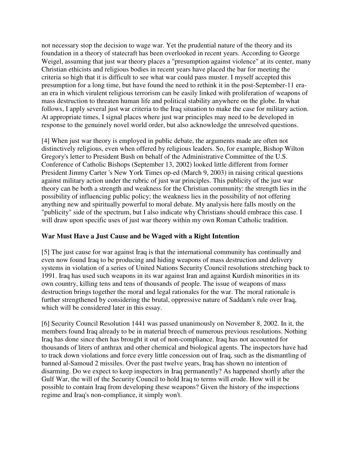not necessary stop the decision to wage war. Yet the prudential nature of the theory and its foundation in a theory of statecraft has been overlooked in recent years. According to George Weigel, assuming that just war theory places a "presumption against violence" at its center, many Christian ethicists and religious bodies in recent years have placed the bar for meeting the criteria so high that it is difficult to see what war could pass muster. I myself accepted this presumption for a long time, but have found the need to rethink it in the post-September-11 eraan era in which virulent religious terrorism can be easily linked with proliferation of weapons of mass destruction to threaten human life and political stability anywhere on the globe. In what follows, I apply several just war criteria to the Iraq situation to make the case for military action. At appropriate times, I signal places where just war principles may need to be developed in response to the genuinely novel world order, but also acknowledge the unresolved questions.

[4] When just war theory is employed in public debate, the arguments made are often not distinctively religious, even when offered by religious leaders. So, for example, Bishop Wilton Gregory's letter to President Bush on behalf of the Administrative Committee of the U.S. Conference of Catholic Bishops (September 13, 2002) looked little different from former President Jimmy Carter 's New York Times op-ed (March 9, 2003) in raising critical questions against military action under the rubric of just war principles. This publicity of the just war theory can be both a strength and weakness for the Christian community: the strength lies in the possibility of influencing public policy; the weakness lies in the possibility of not offering anything new and spiritually powerful to moral debate. My analysis here falls mostly on the "publicity" side of the spectrum, but I also indicate why Christians should embrace this case. I will draw upon specific uses of just war theory within my own Roman Catholic tradition.

# **War Must Have a Just Cause and be Waged with a Right Intention**

[5] The just cause for war against Iraq is that the international community has continually and even now found Iraq to be producing and hiding weapons of mass destruction and delivery systems in violation of a series of United Nations Security Council resolutions stretching back to 1991. Iraq has used such weapons in its war against Iran and against Kurdish minorities in its own country, killing tens and tens of thousands of people. The issue of weapons of mass destruction brings together the moral and legal rationales for the war. The moral rationale is further strengthened by considering the brutal, oppressive nature of Saddam's rule over Iraq, which will be considered later in this essay.

[6] Security Council Resolution 1441 was passed unanimously on November 8, 2002. In it, the members found Iraq already to be in material breech of numerous previous resolutions. Nothing Iraq has done since then has brought it out of non-compliance. Iraq has not accounted for thousands of liters of anthrax and other chemical and biological agents. The inspectors have had to track down violations and force every little concession out of Iraq, such as the dismantling of banned al-Samoud 2 missiles. Over the past twelve years, Iraq has shown no intention of disarming. Do we expect to keep inspectors in Iraq permanently? As happened shortly after the Gulf War, the will of the Security Council to hold Iraq to terms will erode. How will it be possible to contain Iraq from developing these weapons? Given the history of the inspections regime and Iraq's non-compliance, it simply won't.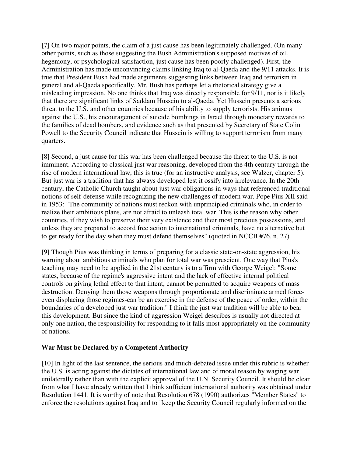[7] On two major points, the claim of a just cause has been legitimately challenged. (On many other points, such as those suggesting the Bush Administration's supposed motives of oil, hegemony, or psychological satisfaction, just cause has been poorly challenged). First, the Administration has made unconvincing claims linking Iraq to al-Qaeda and the 9/11 attacks. It is true that President Bush had made arguments suggesting links between Iraq and terrorism in general and al-Qaeda specifically. Mr. Bush has perhaps let a rhetorical strategy give a misleading impression. No one thinks that Iraq was directly responsible for 9/11, nor is it likely that there are significant links of Saddam Hussein to al-Qaeda. Yet Hussein presents a serious threat to the U.S. and other countries because of his ability to supply terrorists. His animus against the U.S., his encouragement of suicide bombings in Israel through monetary rewards to the families of dead bombers, and evidence such as that presented by Secretary of State Colin Powell to the Security Council indicate that Hussein is willing to support terrorism from many quarters.

[8] Second, a just cause for this war has been challenged because the threat to the U.S. is not imminent. According to classical just war reasoning, developed from the 4th century through the rise of modern international law, this is true (for an instructive analysis, see Walzer, chapter 5). But just war is a tradition that has always developed lest it ossify into irrelevance. In the 20th century, the Catholic Church taught about just war obligations in ways that referenced traditional notions of self-defense while recognizing the new challenges of modern war. Pope Pius XII said in 1953: "The community of nations must reckon with unprincipled criminals who, in order to realize their ambitious plans, are not afraid to unleash total war. This is the reason why other countries, if they wish to preserve their very existence and their most precious possessions, and unless they are prepared to accord free action to international criminals, have no alternative but to get ready for the day when they must defend themselves" (quoted in NCCB #76, n. 27).

[9] Though Pius was thinking in terms of preparing for a classic state-on-state aggression, his warning about ambitious criminals who plan for total war was prescient. One way that Pius's teaching may need to be applied in the 21st century is to affirm with George Weigel: "Some states, because of the regime's aggressive intent and the lack of effective internal political controls on giving lethal effect to that intent, cannot be permitted to acquire weapons of mass destruction. Denying them those weapons through proportionate and discriminate armed forceeven displacing those regimes-can be an exercise in the defense of the peace of order, within the boundaries of a developed just war tradition." I think the just war tradition will be able to bear this development. But since the kind of aggression Weigel describes is usually not directed at only one nation, the responsibility for responding to it falls most appropriately on the community of nations.

#### **War Must be Declared by a Competent Authority**

[10] In light of the last sentence, the serious and much-debated issue under this rubric is whether the U.S. is acting against the dictates of international law and of moral reason by waging war unilaterally rather than with the explicit approval of the U.N. Security Council. It should be clear from what I have already written that I think sufficient international authority was obtained under Resolution 1441. It is worthy of note that Resolution 678 (1990) authorizes "Member States" to enforce the resolutions against Iraq and to "keep the Security Council regularly informed on the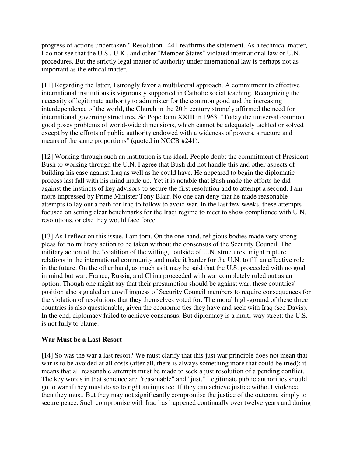progress of actions undertaken." Resolution 1441 reaffirms the statement. As a technical matter, I do not see that the U.S., U.K., and other "Member States" violated international law or U.N. procedures. But the strictly legal matter of authority under international law is perhaps not as important as the ethical matter.

[11] Regarding the latter, I strongly favor a multilateral approach. A commitment to effective international institutions is vigorously supported in Catholic social teaching. Recognizing the necessity of legitimate authority to administer for the common good and the increasing interdependence of the world, the Church in the 20th century strongly affirmed the need for international governing structures. So Pope John XXIII in 1963: "Today the universal common good poses problems of world-wide dimensions, which cannot be adequately tackled or solved except by the efforts of public authority endowed with a wideness of powers, structure and means of the same proportions" (quoted in NCCB #241).

[12] Working through such an institution is the ideal. People doubt the commitment of President Bush to working through the U.N. I agree that Bush did not handle this and other aspects of building his case against Iraq as well as he could have. He appeared to begin the diplomatic process last fall with his mind made up. Yet it is notable that Bush made the efforts he didagainst the instincts of key advisors-to secure the first resolution and to attempt a second. I am more impressed by Prime Minister Tony Blair. No one can deny that he made reasonable attempts to lay out a path for Iraq to follow to avoid war. In the last few weeks, these attempts focused on setting clear benchmarks for the Iraqi regime to meet to show compliance with U.N. resolutions, or else they would face force.

[13] As I reflect on this issue, I am torn. On the one hand, religious bodies made very strong pleas for no military action to be taken without the consensus of the Security Council. The military action of the "coalition of the willing," outside of U.N. structures, might rupture relations in the international community and make it harder for the U.N. to fill an effective role in the future. On the other hand, as much as it may be said that the U.S. proceeded with no goal in mind but war, France, Russia, and China proceeded with war completely ruled out as an option. Though one might say that their presumption should be against war, these countries' position also signaled an unwillingness of Security Council members to require consequences for the violation of resolutions that they themselves voted for. The moral high-ground of these three countries is also questionable, given the economic ties they have and seek with Iraq (see Davis). In the end, diplomacy failed to achieve consensus. But diplomacy is a multi-way street: the U.S. is not fully to blame.

#### **War Must be a Last Resort**

[14] So was the war a last resort? We must clarify that this just war principle does not mean that war is to be avoided at all costs (after all, there is always something more that could be tried); it means that all reasonable attempts must be made to seek a just resolution of a pending conflict. The key words in that sentence are "reasonable" and "just." Legitimate public authorities should go to war if they must do so to right an injustice. If they can achieve justice without violence, then they must. But they may not significantly compromise the justice of the outcome simply to secure peace. Such compromise with Iraq has happened continually over twelve years and during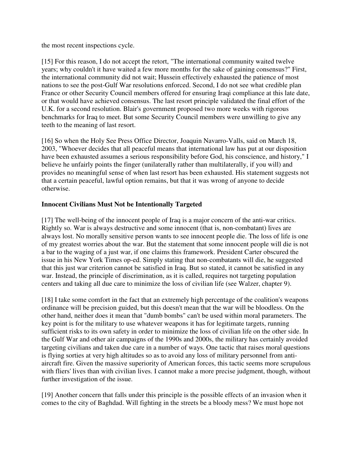the most recent inspections cycle.

[15] For this reason, I do not accept the retort, "The international community waited twelve years; why couldn't it have waited a few more months for the sake of gaining consensus?" First, the international community did not wait; Hussein effectively exhausted the patience of most nations to see the post-Gulf War resolutions enforced. Second, I do not see what credible plan France or other Security Council members offered for ensuring Iraqi compliance at this late date, or that would have achieved consensus. The last resort principle validated the final effort of the U.K. for a second resolution. Blair's government proposed two more weeks with rigorous benchmarks for Iraq to meet. But some Security Council members were unwilling to give any teeth to the meaning of last resort.

[16] So when the Holy See Press Office Director, Joaquin Navarro-Valls, said on March 18, 2003, "Whoever decides that all peaceful means that international law has put at our disposition have been exhausted assumes a serious responsibility before God, his conscience, and history," I believe he unfairly points the finger (unilaterally rather than multilaterally, if you will) and provides no meaningful sense of when last resort has been exhausted. His statement suggests not that a certain peaceful, lawful option remains, but that it was wrong of anyone to decide otherwise.

### **Innocent Civilians Must Not be Intentionally Targeted**

[17] The well-being of the innocent people of Iraq is a major concern of the anti-war critics. Rightly so. War is always destructive and some innocent (that is, non-combatant) lives are always lost. No morally sensitive person wants to see innocent people die. The loss of life is one of my greatest worries about the war. But the statement that some innocent people will die is not a bar to the waging of a just war, if one claims this framework. President Carter obscured the issue in his New York Times op-ed. Simply stating that non-combatants will die, he suggested that this just war criterion cannot be satisfied in Iraq. But so stated, it cannot be satisfied in any war. Instead, the principle of discrimination, as it is called, requires not targeting population centers and taking all due care to minimize the loss of civilian life (see Walzer, chapter 9).

[18] I take some comfort in the fact that an extremely high percentage of the coalition's weapons ordinance will be precision guided, but this doesn't mean that the war will be bloodless. On the other hand, neither does it mean that "dumb bombs" can't be used within moral parameters. The key point is for the military to use whatever weapons it has for legitimate targets, running sufficient risks to its own safety in order to minimize the loss of civilian life on the other side. In the Gulf War and other air campaigns of the 1990s and 2000s, the military has certainly avoided targeting civilians and taken due care in a number of ways. One tactic that raises moral questions is flying sorties at very high altitudes so as to avoid any loss of military personnel from antiaircraft fire. Given the massive superiority of American forces, this tactic seems more scrupulous with fliers' lives than with civilian lives. I cannot make a more precise judgment, though, without further investigation of the issue.

[19] Another concern that falls under this principle is the possible effects of an invasion when it comes to the city of Baghdad. Will fighting in the streets be a bloody mess? We must hope not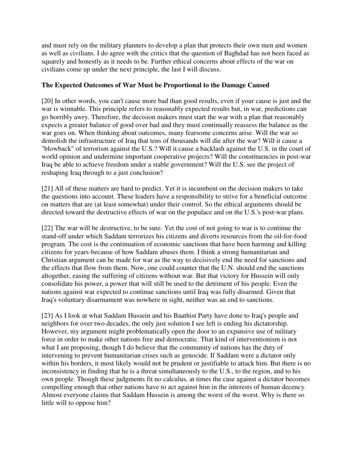and must rely on the military planners to develop a plan that protects their own men and women as well as civilians. I do agree with the critics that the question of Baghdad has not been faced as squarely and honestly as it needs to be. Further ethical concerns about effects of the war on civilians come up under the next principle, the last I will discuss.

# **The Expected Outcomes of War Must be Proportional to the Damage Caused**

[20] In other words, you can't cause more bad than good results, even if your cause is just and the war is winnable. This principle refers to reasonably expected results but, in war, predictions can go horribly awry. Therefore, the decision makers must start the war with a plan that reasonably expects a greater balance of good over bad and they must continually reassess the balance as the war goes on. When thinking about outcomes, many fearsome concerns arise. Will the war so demolish the infrastructure of Iraq that tens of thousands will die after the war? Will it cause a "blowback" of terrorism against the U.S.? Will it cause a backlash against the U.S. in the court of world opinion and undermine important cooperative projects? Will the constituencies in post-war Iraq be able to achieve freedom under a stable government? Will the U.S. see the project of reshaping Iraq through to a just conclusion?

[21] All of these matters are hard to predict. Yet it is incumbent on the decision makers to take the questions into account. These leaders have a responsibility to strive for a beneficial outcome on matters that are (at least somewhat) under their control. So the ethical arguments should be directed toward the destructive effects of war on the populace and on the U.S.'s post-war plans.

[22] The war will be destructive, to be sure. Yet the cost of not going to war is to continue the stand-off under which Saddam terrorizes his citizens and diverts resources from the oil-for-food program. The cost is the continuation of economic sanctions that have been harming and killing citizens for years-because of how Saddam abuses them. I think a strong humanitarian and Christian argument can be made for war as the way to decisively end the need for sanctions and the effects that flow from them. Now, one could counter that the U.N. should end the sanctions altogether, easing the suffering of citizens without war. But that victory for Hussein will only consolidate his power, a power that will still be used to the detriment of his people. Even the nations against war expected to continue sanctions until Iraq was fully disarmed. Given that Iraq's voluntary disarmament was nowhere in sight, neither was an end to sanctions.

[23] As I look at what Saddam Hussein and his Baathist Party have done to Iraq's people and neighbors for over two decades, the only just solution I see left is ending his dictatorship. However, my argument might problematically open the door to an expansive use of military force in order to make other nations free and democratic. That kind of interventionism is not what I am proposing, though I do believe that the community of nations has the duty of intervening to prevent humanitarian crises such as genocide. If Saddam were a dictator only within his borders, it most likely would not be prudent or justifiable to attack him. But there is no inconsistency in finding that he is a threat simultaneously to the U.S., to the region, and to his own people. Though these judgments fit no calculus, at times the case against a dictator becomes compelling enough that other nations have to act against him in the interests of human decency. Almost everyone claims that Saddam Hussein is among the worst of the worst. Why is there so little will to oppose him?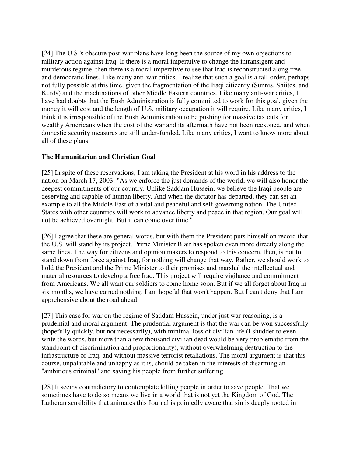[24] The U.S.'s obscure post-war plans have long been the source of my own objections to military action against Iraq. If there is a moral imperative to change the intransigent and murderous regime, then there is a moral imperative to see that Iraq is reconstructed along free and democratic lines. Like many anti-war critics, I realize that such a goal is a tall-order, perhaps not fully possible at this time, given the fragmentation of the Iraqi citizenry (Sunnis, Shiites, and Kurds) and the machinations of other Middle Eastern countries. Like many anti-war critics, I have had doubts that the Bush Administration is fully committed to work for this goal, given the money it will cost and the length of U.S. military occupation it will require. Like many critics, I think it is irresponsible of the Bush Administration to be pushing for massive tax cuts for wealthy Americans when the cost of the war and its aftermath have not been reckoned, and when domestic security measures are still under-funded. Like many critics, I want to know more about all of these plans.

# **The Humanitarian and Christian Goal**

[25] In spite of these reservations, I am taking the President at his word in his address to the nation on March 17, 2003: "As we enforce the just demands of the world, we will also honor the deepest commitments of our country. Unlike Saddam Hussein, we believe the Iraqi people are deserving and capable of human liberty. And when the dictator has departed, they can set an example to all the Middle East of a vital and peaceful and self-governing nation. The United States with other countries will work to advance liberty and peace in that region. Our goal will not be achieved overnight. But it can come over time."

[26] I agree that these are general words, but with them the President puts himself on record that the U.S. will stand by its project. Prime Minister Blair has spoken even more directly along the same lines. The way for citizens and opinion makers to respond to this concern, then, is not to stand down from force against Iraq, for nothing will change that way. Rather, we should work to hold the President and the Prime Minister to their promises and marshal the intellectual and material resources to develop a free Iraq. This project will require vigilance and commitment from Americans. We all want our soldiers to come home soon. But if we all forget about Iraq in six months, we have gained nothing. I am hopeful that won't happen. But I can't deny that I am apprehensive about the road ahead.

[27] This case for war on the regime of Saddam Hussein, under just war reasoning, is a prudential and moral argument. The prudential argument is that the war can be won successfully (hopefully quickly, but not necessarily), with minimal loss of civilian life (I shudder to even write the words, but more than a few thousand civilian dead would be very problematic from the standpoint of discrimination and proportionality), without overwhelming destruction to the infrastructure of Iraq, and without massive terrorist retaliations. The moral argument is that this course, unpalatable and unhappy as it is, should be taken in the interests of disarming an "ambitious criminal" and saving his people from further suffering.

[28] It seems contradictory to contemplate killing people in order to save people. That we sometimes have to do so means we live in a world that is not yet the Kingdom of God. The Lutheran sensibility that animates this Journal is pointedly aware that sin is deeply rooted in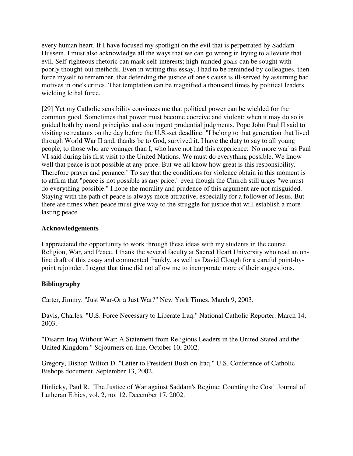every human heart. If I have focused my spotlight on the evil that is perpetrated by Saddam Hussein, I must also acknowledge all the ways that we can go wrong in trying to alleviate that evil. Self-righteous rhetoric can mask self-interests; high-minded goals can be sought with poorly thought-out methods. Even in writing this essay, I had to be reminded by colleagues, then force myself to remember, that defending the justice of one's cause is ill-served by assuming bad motives in one's critics. That temptation can be magnified a thousand times by political leaders wielding lethal force.

[29] Yet my Catholic sensibility convinces me that political power can be wielded for the common good. Sometimes that power must become coercive and violent; when it may do so is guided both by moral principles and contingent prudential judgments. Pope John Paul II said to visiting retreatants on the day before the U.S.-set deadline: "I belong to that generation that lived through World War II and, thanks be to God, survived it. I have the duty to say to all young people, to those who are younger than I, who have not had this experience: 'No more war' as Paul VI said during his first visit to the United Nations. We must do everything possible. We know well that peace is not possible at any price. But we all know how great is this responsibility. Therefore prayer and penance." To say that the conditions for violence obtain in this moment is to affirm that "peace is not possible as any price," even though the Church still urges "we must do everything possible." I hope the morality and prudence of this argument are not misguided. Staying with the path of peace is always more attractive, especially for a follower of Jesus. But there are times when peace must give way to the struggle for justice that will establish a more lasting peace.

# **Acknowledgements**

I appreciated the opportunity to work through these ideas with my students in the course Religion, War, and Peace. I thank the several faculty at Sacred Heart University who read an online draft of this essay and commented frankly, as well as David Clough for a careful point-bypoint rejoinder. I regret that time did not allow me to incorporate more of their suggestions.

# **Bibliography**

Carter, Jimmy. "Just War-Or a Just War?" New York Times. March 9, 2003.

Davis, Charles. "U.S. Force Necessary to Liberate Iraq." National Catholic Reporter. March 14, 2003.

"Disarm Iraq Without War: A Statement from Religious Leaders in the United Stated and the United Kingdom." Sojourners on-line. October 10, 2002.

Gregory, Bishop Wilton D. "Letter to President Bush on Iraq." U.S. Conference of Catholic Bishops document. September 13, 2002.

Hinlicky, Paul R. "The Justice of War against Saddam's Regime: Counting the Cost" Journal of Lutheran Ethics, vol. 2, no. 12. December 17, 2002.